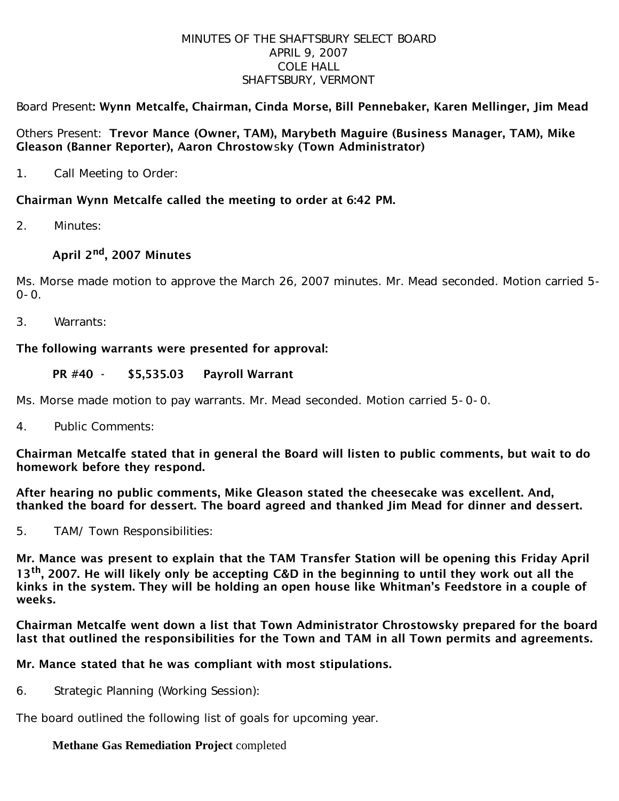### MINUTES OF THE SHAFTSBURY SELECT BOARD APRIL 9, 2007 COLE HALL SHAFTSBURY, VERMONT

## Board Present: Wynn Metcalfe, Chairman, Cinda Morse, Bill Pennebaker, Karen Mellinger, Jim Mead

### Others Present: Trevor Mance (Owner, TAM), Marybeth Maguire (Business Manager, TAM), Mike Gleason (Banner Reporter), Aaron Chrostowsky (Town Administrator)

1. Call Meeting to Order:

## Chairman Wynn Metcalfe called the meeting to order at 6:42 PM.

2. Minutes:

# April 2<sup>nd</sup>, 2007 Minutes

Ms. Morse made motion to approve the March 26, 2007 minutes. Mr. Mead seconded. Motion carried 5- 0-0.

3. Warrants:

## The following warrants were presented for approval:

### PR #40 - \$5,535.03 Payroll Warrant

Ms. Morse made motion to pay warrants. Mr. Mead seconded. Motion carried 5-0-0.

4. Public Comments:

Chairman Metcalfe stated that in general the Board will listen to public comments, but wait to do homework before they respond.

After hearing no public comments, Mike Gleason stated the cheesecake was excellent. And, thanked the board for dessert. The board agreed and thanked Jim Mead for dinner and dessert.

5. TAM/ Town Responsibilities:

Mr. Mance was present to explain that the TAM Transfer Station will be opening this Friday April 13<sup>th</sup>, 2007. He will likely only be accepting C&D in the beginning to until they work out all the kinks in the system. They will be holding an open house like Whitman's Feedstore in a couple of weeks.

Chairman Metcalfe went down a list that Town Administrator Chrostowsky prepared for the board last that outlined the responsibilities for the Town and TAM in all Town permits and agreements.

## Mr. Mance stated that he was compliant with most stipulations.

6. Strategic Planning (Working Session):

The board outlined the following list of goals for upcoming year.

# **Methane Gas Remediation Project** completed